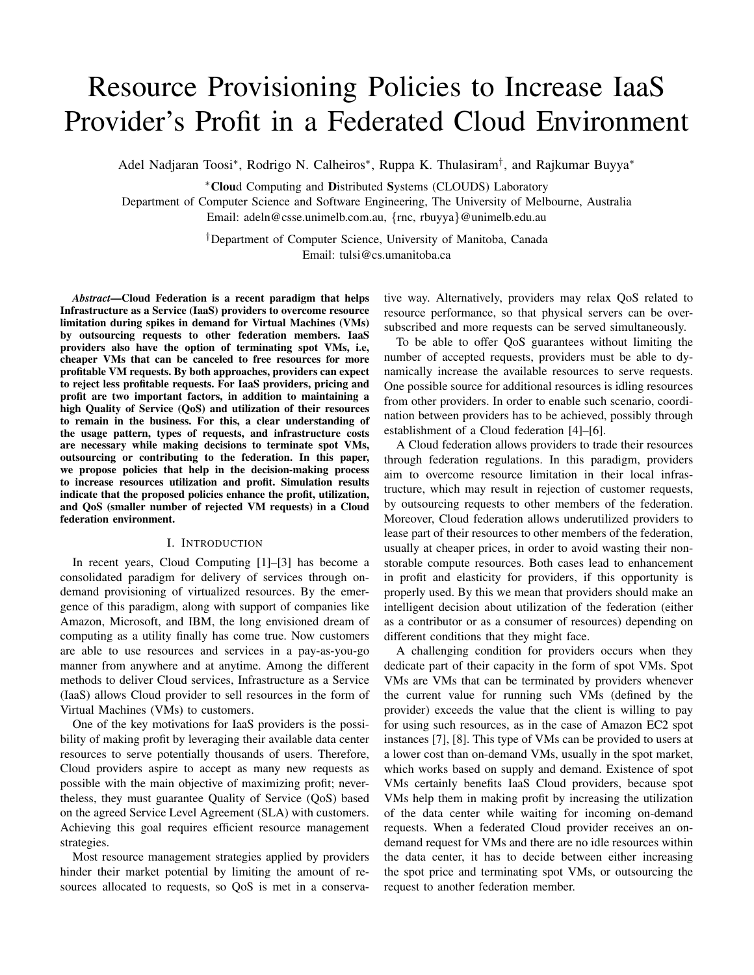# Resource Provisioning Policies to Increase IaaS Provider's Profit in a Federated Cloud Environment

Adel Nadjaran Toosi\*, Rodrigo N. Calheiros\*, Ruppa K. Thulasiram<sup>†</sup>, and Rajkumar Buyya\*

<sup>∗</sup>Cloud Computing and Distributed Systems (CLOUDS) Laboratory

Department of Computer Science and Software Engineering, The University of Melbourne, Australia Email: adeln@csse.unimelb.com.au, {rnc, rbuyya}@unimelb.edu.au

> †Department of Computer Science, University of Manitoba, Canada Email: tulsi@cs.umanitoba.ca

*Abstract*—Cloud Federation is a recent paradigm that helps Infrastructure as a Service (IaaS) providers to overcome resource limitation during spikes in demand for Virtual Machines (VMs) by outsourcing requests to other federation members. IaaS providers also have the option of terminating spot VMs, i.e, cheaper VMs that can be canceled to free resources for more profitable VM requests. By both approaches, providers can expect to reject less profitable requests. For IaaS providers, pricing and profit are two important factors, in addition to maintaining a high Quality of Service (QoS) and utilization of their resources to remain in the business. For this, a clear understanding of the usage pattern, types of requests, and infrastructure costs are necessary while making decisions to terminate spot VMs, outsourcing or contributing to the federation. In this paper, we propose policies that help in the decision-making process to increase resources utilization and profit. Simulation results indicate that the proposed policies enhance the profit, utilization, and QoS (smaller number of rejected VM requests) in a Cloud federation environment.

# I. INTRODUCTION

In recent years, Cloud Computing [1]–[3] has become a consolidated paradigm for delivery of services through ondemand provisioning of virtualized resources. By the emergence of this paradigm, along with support of companies like Amazon, Microsoft, and IBM, the long envisioned dream of computing as a utility finally has come true. Now customers are able to use resources and services in a pay-as-you-go manner from anywhere and at anytime. Among the different methods to deliver Cloud services, Infrastructure as a Service (IaaS) allows Cloud provider to sell resources in the form of Virtual Machines (VMs) to customers.

One of the key motivations for IaaS providers is the possibility of making profit by leveraging their available data center resources to serve potentially thousands of users. Therefore, Cloud providers aspire to accept as many new requests as possible with the main objective of maximizing profit; nevertheless, they must guarantee Quality of Service (QoS) based on the agreed Service Level Agreement (SLA) with customers. Achieving this goal requires efficient resource management strategies.

Most resource management strategies applied by providers hinder their market potential by limiting the amount of resources allocated to requests, so QoS is met in a conservative way. Alternatively, providers may relax QoS related to resource performance, so that physical servers can be oversubscribed and more requests can be served simultaneously.

To be able to offer QoS guarantees without limiting the number of accepted requests, providers must be able to dynamically increase the available resources to serve requests. One possible source for additional resources is idling resources from other providers. In order to enable such scenario, coordination between providers has to be achieved, possibly through establishment of a Cloud federation [4]–[6].

A Cloud federation allows providers to trade their resources through federation regulations. In this paradigm, providers aim to overcome resource limitation in their local infrastructure, which may result in rejection of customer requests, by outsourcing requests to other members of the federation. Moreover, Cloud federation allows underutilized providers to lease part of their resources to other members of the federation, usually at cheaper prices, in order to avoid wasting their nonstorable compute resources. Both cases lead to enhancement in profit and elasticity for providers, if this opportunity is properly used. By this we mean that providers should make an intelligent decision about utilization of the federation (either as a contributor or as a consumer of resources) depending on different conditions that they might face.

A challenging condition for providers occurs when they dedicate part of their capacity in the form of spot VMs. Spot VMs are VMs that can be terminated by providers whenever the current value for running such VMs (defined by the provider) exceeds the value that the client is willing to pay for using such resources, as in the case of Amazon EC2 spot instances [7], [8]. This type of VMs can be provided to users at a lower cost than on-demand VMs, usually in the spot market, which works based on supply and demand. Existence of spot VMs certainly benefits IaaS Cloud providers, because spot VMs help them in making profit by increasing the utilization of the data center while waiting for incoming on-demand requests. When a federated Cloud provider receives an ondemand request for VMs and there are no idle resources within the data center, it has to decide between either increasing the spot price and terminating spot VMs, or outsourcing the request to another federation member.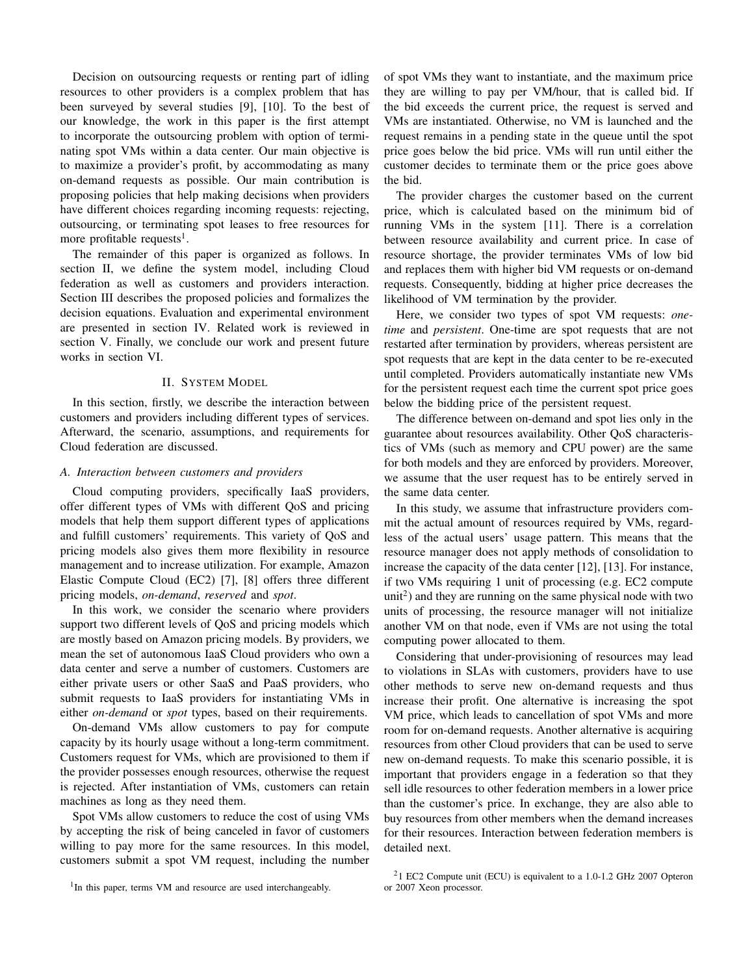Decision on outsourcing requests or renting part of idling resources to other providers is a complex problem that has been surveyed by several studies [9], [10]. To the best of our knowledge, the work in this paper is the first attempt to incorporate the outsourcing problem with option of terminating spot VMs within a data center. Our main objective is to maximize a provider's profit, by accommodating as many on-demand requests as possible. Our main contribution is proposing policies that help making decisions when providers have different choices regarding incoming requests: rejecting, outsourcing, or terminating spot leases to free resources for more profitable requests<sup>1</sup>.

The remainder of this paper is organized as follows. In section II, we define the system model, including Cloud federation as well as customers and providers interaction. Section III describes the proposed policies and formalizes the decision equations. Evaluation and experimental environment are presented in section IV. Related work is reviewed in section V. Finally, we conclude our work and present future works in section VI.

#### II. SYSTEM MODEL

In this section, firstly, we describe the interaction between customers and providers including different types of services. Afterward, the scenario, assumptions, and requirements for Cloud federation are discussed.

#### *A. Interaction between customers and providers*

Cloud computing providers, specifically IaaS providers, offer different types of VMs with different QoS and pricing models that help them support different types of applications and fulfill customers' requirements. This variety of QoS and pricing models also gives them more flexibility in resource management and to increase utilization. For example, Amazon Elastic Compute Cloud (EC2) [7], [8] offers three different pricing models, *on-demand*, *reserved* and *spot*.

In this work, we consider the scenario where providers support two different levels of QoS and pricing models which are mostly based on Amazon pricing models. By providers, we mean the set of autonomous IaaS Cloud providers who own a data center and serve a number of customers. Customers are either private users or other SaaS and PaaS providers, who submit requests to IaaS providers for instantiating VMs in either *on-demand* or *spot* types, based on their requirements.

On-demand VMs allow customers to pay for compute capacity by its hourly usage without a long-term commitment. Customers request for VMs, which are provisioned to them if the provider possesses enough resources, otherwise the request is rejected. After instantiation of VMs, customers can retain machines as long as they need them.

Spot VMs allow customers to reduce the cost of using VMs by accepting the risk of being canceled in favor of customers willing to pay more for the same resources. In this model, customers submit a spot VM request, including the number of spot VMs they want to instantiate, and the maximum price they are willing to pay per VM/hour, that is called bid. If the bid exceeds the current price, the request is served and VMs are instantiated. Otherwise, no VM is launched and the request remains in a pending state in the queue until the spot price goes below the bid price. VMs will run until either the customer decides to terminate them or the price goes above the bid.

The provider charges the customer based on the current price, which is calculated based on the minimum bid of running VMs in the system [11]. There is a correlation between resource availability and current price. In case of resource shortage, the provider terminates VMs of low bid and replaces them with higher bid VM requests or on-demand requests. Consequently, bidding at higher price decreases the likelihood of VM termination by the provider.

Here, we consider two types of spot VM requests: *onetime* and *persistent*. One-time are spot requests that are not restarted after termination by providers, whereas persistent are spot requests that are kept in the data center to be re-executed until completed. Providers automatically instantiate new VMs for the persistent request each time the current spot price goes below the bidding price of the persistent request.

The difference between on-demand and spot lies only in the guarantee about resources availability. Other QoS characteristics of VMs (such as memory and CPU power) are the same for both models and they are enforced by providers. Moreover, we assume that the user request has to be entirely served in the same data center.

In this study, we assume that infrastructure providers commit the actual amount of resources required by VMs, regardless of the actual users' usage pattern. This means that the resource manager does not apply methods of consolidation to increase the capacity of the data center [12], [13]. For instance, if two VMs requiring 1 unit of processing (e.g. EC2 compute unit<sup>2</sup>) and they are running on the same physical node with two units of processing, the resource manager will not initialize another VM on that node, even if VMs are not using the total computing power allocated to them.

Considering that under-provisioning of resources may lead to violations in SLAs with customers, providers have to use other methods to serve new on-demand requests and thus increase their profit. One alternative is increasing the spot VM price, which leads to cancellation of spot VMs and more room for on-demand requests. Another alternative is acquiring resources from other Cloud providers that can be used to serve new on-demand requests. To make this scenario possible, it is important that providers engage in a federation so that they sell idle resources to other federation members in a lower price than the customer's price. In exchange, they are also able to buy resources from other members when the demand increases for their resources. Interaction between federation members is detailed next.

<sup>&</sup>lt;sup>1</sup>In this paper, terms VM and resource are used interchangeably.

<sup>&</sup>lt;sup>2</sup>1 EC2 Compute unit (ECU) is equivalent to a 1.0-1.2 GHz 2007 Opteron or 2007 Xeon processor.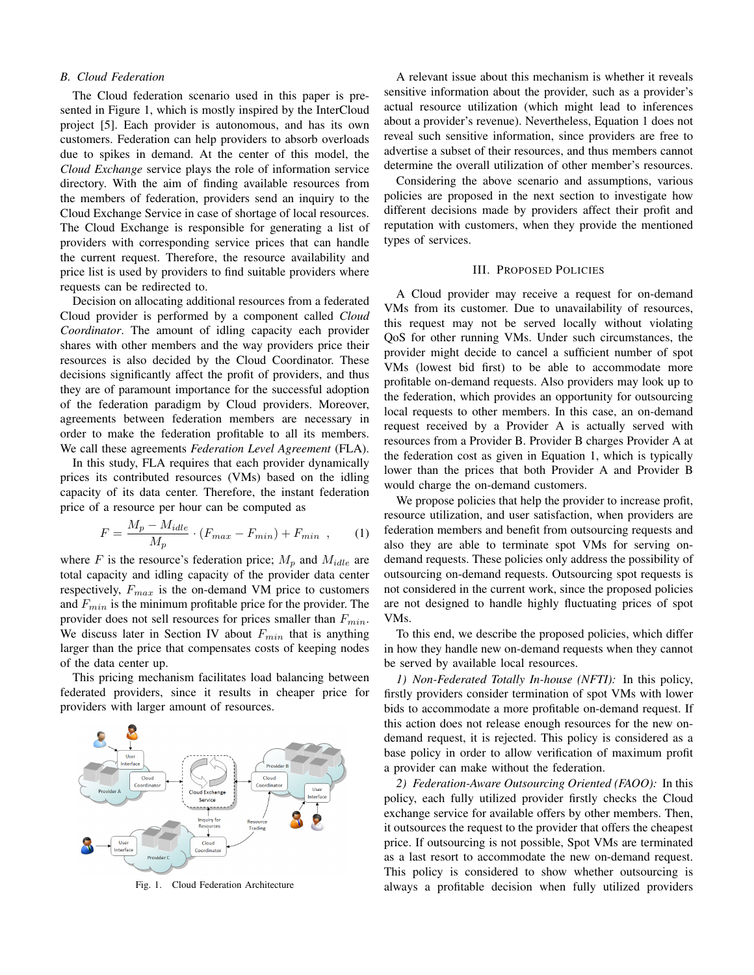#### *B. Cloud Federation*

The Cloud federation scenario used in this paper is presented in Figure 1, which is mostly inspired by the InterCloud project [5]. Each provider is autonomous, and has its own customers. Federation can help providers to absorb overloads due to spikes in demand. At the center of this model, the *Cloud Exchange* service plays the role of information service directory. With the aim of finding available resources from the members of federation, providers send an inquiry to the Cloud Exchange Service in case of shortage of local resources. The Cloud Exchange is responsible for generating a list of providers with corresponding service prices that can handle the current request. Therefore, the resource availability and price list is used by providers to find suitable providers where requests can be redirected to.

Decision on allocating additional resources from a federated Cloud provider is performed by a component called *Cloud Coordinator*. The amount of idling capacity each provider shares with other members and the way providers price their resources is also decided by the Cloud Coordinator. These decisions significantly affect the profit of providers, and thus they are of paramount importance for the successful adoption of the federation paradigm by Cloud providers. Moreover, agreements between federation members are necessary in order to make the federation profitable to all its members. We call these agreements *Federation Level Agreement* (FLA).

In this study, FLA requires that each provider dynamically prices its contributed resources (VMs) based on the idling capacity of its data center. Therefore, the instant federation price of a resource per hour can be computed as

$$
F = \frac{M_p - M_{idle}}{M_p} \cdot (F_{max} - F_{min}) + F_{min} \quad , \qquad (1)
$$

where F is the resource's federation price;  $M_p$  and  $M_{idle}$  are total capacity and idling capacity of the provider data center respectively,  $F_{max}$  is the on-demand VM price to customers and  $F_{min}$  is the minimum profitable price for the provider. The provider does not sell resources for prices smaller than  $F_{min}$ . We discuss later in Section IV about  $F_{min}$  that is anything larger than the price that compensates costs of keeping nodes of the data center up.

This pricing mechanism facilitates load balancing between federated providers, since it results in cheaper price for providers with larger amount of resources.



Fig. 1. Cloud Federation Architecture

A relevant issue about this mechanism is whether it reveals sensitive information about the provider, such as a provider's actual resource utilization (which might lead to inferences about a provider's revenue). Nevertheless, Equation 1 does not reveal such sensitive information, since providers are free to advertise a subset of their resources, and thus members cannot determine the overall utilization of other member's resources.

Considering the above scenario and assumptions, various policies are proposed in the next section to investigate how different decisions made by providers affect their profit and reputation with customers, when they provide the mentioned types of services.

#### III. PROPOSED POLICIES

A Cloud provider may receive a request for on-demand VMs from its customer. Due to unavailability of resources, this request may not be served locally without violating QoS for other running VMs. Under such circumstances, the provider might decide to cancel a sufficient number of spot VMs (lowest bid first) to be able to accommodate more profitable on-demand requests. Also providers may look up to the federation, which provides an opportunity for outsourcing local requests to other members. In this case, an on-demand request received by a Provider A is actually served with resources from a Provider B. Provider B charges Provider A at the federation cost as given in Equation 1, which is typically lower than the prices that both Provider A and Provider B would charge the on-demand customers.

We propose policies that help the provider to increase profit, resource utilization, and user satisfaction, when providers are federation members and benefit from outsourcing requests and also they are able to terminate spot VMs for serving ondemand requests. These policies only address the possibility of outsourcing on-demand requests. Outsourcing spot requests is not considered in the current work, since the proposed policies are not designed to handle highly fluctuating prices of spot VMs.

To this end, we describe the proposed policies, which differ in how they handle new on-demand requests when they cannot be served by available local resources.

*1) Non-Federated Totally In-house (NFTI):* In this policy, firstly providers consider termination of spot VMs with lower bids to accommodate a more profitable on-demand request. If this action does not release enough resources for the new ondemand request, it is rejected. This policy is considered as a base policy in order to allow verification of maximum profit a provider can make without the federation.

*2) Federation-Aware Outsourcing Oriented (FAOO):* In this policy, each fully utilized provider firstly checks the Cloud exchange service for available offers by other members. Then, it outsources the request to the provider that offers the cheapest price. If outsourcing is not possible, Spot VMs are terminated as a last resort to accommodate the new on-demand request. This policy is considered to show whether outsourcing is always a profitable decision when fully utilized providers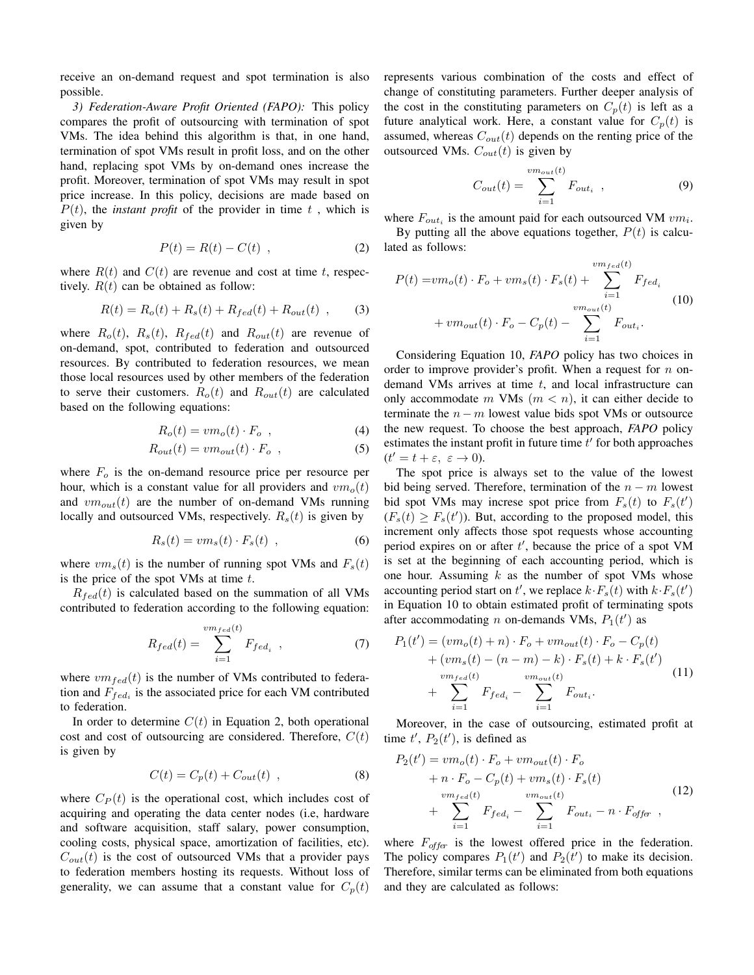receive an on-demand request and spot termination is also possible.

*3) Federation-Aware Profit Oriented (FAPO):* This policy compares the profit of outsourcing with termination of spot VMs. The idea behind this algorithm is that, in one hand, termination of spot VMs result in profit loss, and on the other hand, replacing spot VMs by on-demand ones increase the profit. Moreover, termination of spot VMs may result in spot price increase. In this policy, decisions are made based on  $P(t)$ , the *instant profit* of the provider in time  $t$ , which is given by

$$
P(t) = R(t) - C(t) \tag{2}
$$

where  $R(t)$  and  $C(t)$  are revenue and cost at time t, respectively.  $R(t)$  can be obtained as follow:

$$
R(t) = R_o(t) + R_s(t) + R_{fed}(t) + R_{out}(t) , \qquad (3)
$$

where  $R_o(t)$ ,  $R_s(t)$ ,  $R_{fed}(t)$  and  $R_{out}(t)$  are revenue of on-demand, spot, contributed to federation and outsourced resources. By contributed to federation resources, we mean those local resources used by other members of the federation to serve their customers.  $R_o(t)$  and  $R_{out}(t)$  are calculated based on the following equations:

$$
R_o(t) = v m_o(t) \cdot F_o , \qquad (4)
$$

$$
R_{out}(t) = v m_{out}(t) \cdot F_o \t , \t\t(5)
$$

where  $F<sub>o</sub>$  is the on-demand resource price per resource per hour, which is a constant value for all providers and  $vm<sub>o</sub>(t)$ and  $vm_{out}(t)$  are the number of on-demand VMs running locally and outsourced VMs, respectively.  $R_s(t)$  is given by

$$
R_s(t) = \nu m_s(t) \cdot F_s(t) \quad , \tag{6}
$$

where  $vm_s(t)$  is the number of running spot VMs and  $F_s(t)$ is the price of the spot VMs at time  $t$ .

 $R_{fed}(t)$  is calculated based on the summation of all VMs contributed to federation according to the following equation:

$$
R_{fed}(t) = \sum_{i=1}^{vm_{fed}(t)} F_{fed_i} , \qquad (7)
$$

where  $vm_{fed}(t)$  is the number of VMs contributed to federation and  $F_{fed_i}$  is the associated price for each VM contributed to federation.

In order to determine  $C(t)$  in Equation 2, both operational cost and cost of outsourcing are considered. Therefore,  $C(t)$ is given by

$$
C(t) = C_p(t) + C_{out}(t) , \qquad (8)
$$

where  $C_P(t)$  is the operational cost, which includes cost of acquiring and operating the data center nodes (i.e, hardware and software acquisition, staff salary, power consumption, cooling costs, physical space, amortization of facilities, etc).  $C_{out}(t)$  is the cost of outsourced VMs that a provider pays to federation members hosting its requests. Without loss of generality, we can assume that a constant value for  $C_p(t)$  represents various combination of the costs and effect of change of constituting parameters. Further deeper analysis of the cost in the constituting parameters on  $C_p(t)$  is left as a future analytical work. Here, a constant value for  $C_p(t)$  is assumed, whereas  $C_{out}(t)$  depends on the renting price of the outsourced VMs.  $C_{out}(t)$  is given by

$$
C_{out}(t) = \sum_{i=1}^{vm_{out}(t)} F_{out_i} , \qquad (9)
$$

where  $F_{out_i}$  is the amount paid for each outsourced VM  $vm_i$ .

By putting all the above equations together,  $P(t)$  is calculated as follows:

$$
P(t) = v m_o(t) \cdot F_o + v m_s(t) \cdot F_s(t) + \sum_{i=1}^{v m_{fed}(t)} F_{fed_i}
$$
  
+ 
$$
v m_{out}(t) \cdot F_o - C_p(t) - \sum_{i=1}^{v m_{out}(t)} F_{out_i}.
$$
 (10)

Considering Equation 10, *FAPO* policy has two choices in order to improve provider's profit. When a request for  $n$  ondemand VMs arrives at time  $t$ , and local infrastructure can only accommodate m VMs  $(m < n)$ , it can either decide to terminate the  $n - m$  lowest value bids spot VMs or outsource the new request. To choose the best approach, *FAPO* policy estimates the instant profit in future time  $t'$  for both approaches  $(t'=t+\varepsilon, \varepsilon \to 0).$ 

The spot price is always set to the value of the lowest bid being served. Therefore, termination of the  $n - m$  lowest bid spot VMs may increse spot price from  $F_s(t)$  to  $F_s(t')$  $(F_s(t) \geq F_s(t'))$ . But, according to the proposed model, this increment only affects those spot requests whose accounting period expires on or after  $t'$ , because the price of a spot VM is set at the beginning of each accounting period, which is one hour. Assuming  $k$  as the number of spot VMs whose accounting period start on  $t'$ , we replace  $k \cdot F_s(t)$  with  $k \cdot F_s(t')$ in Equation 10 to obtain estimated profit of terminating spots after accommodating *n* on-demands VMs,  $P_1(t')$  as

$$
P_1(t') = (vm_o(t) + n) \cdot F_o + v m_{out}(t) \cdot F_o - C_p(t) + (vm_s(t) - (n - m) - k) \cdot F_s(t) + k \cdot F_s(t') + \sum_{i=1}^{vm_{fed}(t)} F_{fed_i} - \sum_{i=1}^{vm_{out}(t)} F_{out_i}.
$$
 (11)

Moreover, in the case of outsourcing, estimated profit at time  $t'$ ,  $P_2(t')$ , is defined as

$$
P_2(t') = v m_o(t) \cdot F_o + v m_{out}(t) \cdot F_o
$$
  
+ 
$$
n \cdot F_o - C_p(t) + v m_s(t) \cdot F_s(t)
$$
  
+ 
$$
\sum_{i=1}^{v m_{fed}(t)} F_{fed_i} - \sum_{i=1}^{v m_{out}(t)} F_{out_i} - n \cdot F_{offer} ,
$$
 (12)

where  $F_{\text{offer}}$  is the lowest offered price in the federation. The policy compares  $P_1(t')$  and  $P_2(t')$  to make its decision. Therefore, similar terms can be eliminated from both equations and they are calculated as follows: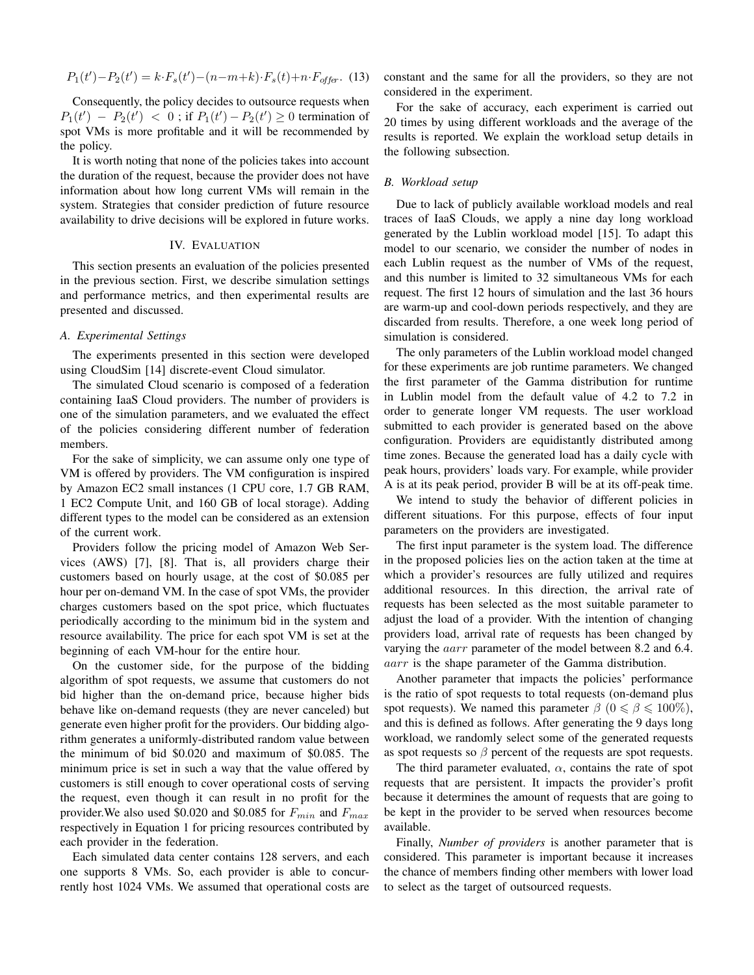$$
P_1(t') - P_2(t') = k \cdot F_s(t') - (n - m + k) \cdot F_s(t) + n \cdot F_{offer}. \tag{13}
$$

Consequently, the policy decides to outsource requests when  $P_1(t') - P_2(t') < 0$ ; if  $P_1(t') - P_2(t') \ge 0$  termination of spot VMs is more profitable and it will be recommended by the policy.

It is worth noting that none of the policies takes into account the duration of the request, because the provider does not have information about how long current VMs will remain in the system. Strategies that consider prediction of future resource availability to drive decisions will be explored in future works.

## IV. EVALUATION

This section presents an evaluation of the policies presented in the previous section. First, we describe simulation settings and performance metrics, and then experimental results are presented and discussed.

#### *A. Experimental Settings*

The experiments presented in this section were developed using CloudSim [14] discrete-event Cloud simulator.

The simulated Cloud scenario is composed of a federation containing IaaS Cloud providers. The number of providers is one of the simulation parameters, and we evaluated the effect of the policies considering different number of federation members.

For the sake of simplicity, we can assume only one type of VM is offered by providers. The VM configuration is inspired by Amazon EC2 small instances (1 CPU core, 1.7 GB RAM, 1 EC2 Compute Unit, and 160 GB of local storage). Adding different types to the model can be considered as an extension of the current work.

Providers follow the pricing model of Amazon Web Services (AWS) [7], [8]. That is, all providers charge their customers based on hourly usage, at the cost of \$0.085 per hour per on-demand VM. In the case of spot VMs, the provider charges customers based on the spot price, which fluctuates periodically according to the minimum bid in the system and resource availability. The price for each spot VM is set at the beginning of each VM-hour for the entire hour.

On the customer side, for the purpose of the bidding algorithm of spot requests, we assume that customers do not bid higher than the on-demand price, because higher bids behave like on-demand requests (they are never canceled) but generate even higher profit for the providers. Our bidding algorithm generates a uniformly-distributed random value between the minimum of bid \$0.020 and maximum of \$0.085. The minimum price is set in such a way that the value offered by customers is still enough to cover operational costs of serving the request, even though it can result in no profit for the provider. We also used \$0.020 and \$0.085 for  $F_{min}$  and  $F_{max}$ respectively in Equation 1 for pricing resources contributed by each provider in the federation.

Each simulated data center contains 128 servers, and each one supports 8 VMs. So, each provider is able to concurrently host 1024 VMs. We assumed that operational costs are

constant and the same for all the providers, so they are not considered in the experiment.

For the sake of accuracy, each experiment is carried out 20 times by using different workloads and the average of the results is reported. We explain the workload setup details in the following subsection.

#### *B. Workload setup*

Due to lack of publicly available workload models and real traces of IaaS Clouds, we apply a nine day long workload generated by the Lublin workload model [15]. To adapt this model to our scenario, we consider the number of nodes in each Lublin request as the number of VMs of the request, and this number is limited to 32 simultaneous VMs for each request. The first 12 hours of simulation and the last 36 hours are warm-up and cool-down periods respectively, and they are discarded from results. Therefore, a one week long period of simulation is considered.

The only parameters of the Lublin workload model changed for these experiments are job runtime parameters. We changed the first parameter of the Gamma distribution for runtime in Lublin model from the default value of 4.2 to 7.2 in order to generate longer VM requests. The user workload submitted to each provider is generated based on the above configuration. Providers are equidistantly distributed among time zones. Because the generated load has a daily cycle with peak hours, providers' loads vary. For example, while provider A is at its peak period, provider B will be at its off-peak time.

We intend to study the behavior of different policies in different situations. For this purpose, effects of four input parameters on the providers are investigated.

The first input parameter is the system load. The difference in the proposed policies lies on the action taken at the time at which a provider's resources are fully utilized and requires additional resources. In this direction, the arrival rate of requests has been selected as the most suitable parameter to adjust the load of a provider. With the intention of changing providers load, arrival rate of requests has been changed by varying the *aarr* parameter of the model between 8.2 and 6.4. aarr is the shape parameter of the Gamma distribution.

Another parameter that impacts the policies' performance is the ratio of spot requests to total requests (on-demand plus spot requests). We named this parameter  $\beta$  ( $0 \le \beta \le 100\%$ ), and this is defined as follows. After generating the 9 days long workload, we randomly select some of the generated requests as spot requests so  $\beta$  percent of the requests are spot requests.

The third parameter evaluated,  $\alpha$ , contains the rate of spot requests that are persistent. It impacts the provider's profit because it determines the amount of requests that are going to be kept in the provider to be served when resources become available.

Finally, *Number of providers* is another parameter that is considered. This parameter is important because it increases the chance of members finding other members with lower load to select as the target of outsourced requests.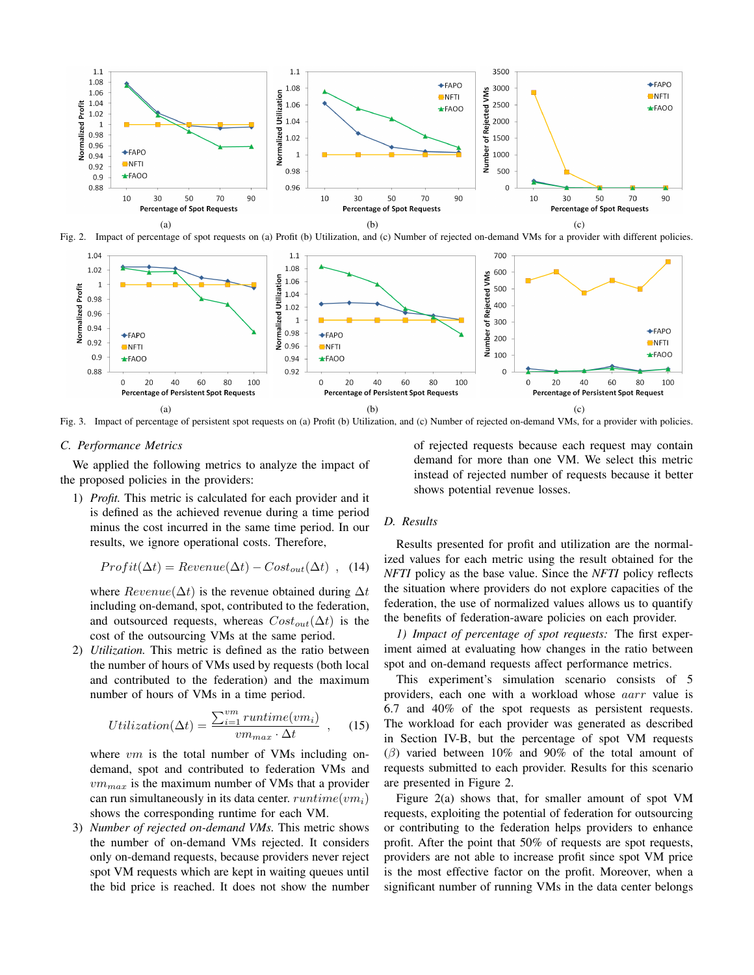

Fig. 2. Impact of percentage of spot requests on (a) Profit (b) Utilization, and (c) Number of rejected on-demand VMs for a provider with different policies.



Fig. 3. Impact of percentage of persistent spot requests on (a) Profit (b) Utilization, and (c) Number of rejected on-demand VMs, for a provider with policies.

# *C. Performance Metrics*

We applied the following metrics to analyze the impact of the proposed policies in the providers:

1) *Profit.* This metric is calculated for each provider and it is defined as the achieved revenue during a time period minus the cost incurred in the same time period. In our results, we ignore operational costs. Therefore,

$$
Profit(\Delta t) = Revenue(\Delta t) - Cost_{out}(\Delta t) , (14)
$$

where  $Revenue(\Delta t)$  is the revenue obtained during  $\Delta t$ including on-demand, spot, contributed to the federation, and outsourced requests, whereas  $Cost_{out}(\Delta t)$  is the cost of the outsourcing VMs at the same period.

2) *Utilization.* This metric is defined as the ratio between the number of hours of VMs used by requests (both local and contributed to the federation) and the maximum number of hours of VMs in a time period.

$$
Utilization(\Delta t) = \frac{\sum_{i=1}^{vm} runtime(vm_i)}{vm_{max} \cdot \Delta t} , \quad (15)
$$

where  $vm$  is the total number of VMs including ondemand, spot and contributed to federation VMs and  $vm<sub>max</sub>$  is the maximum number of VMs that a provider can run simultaneously in its data center.  $\textit{runtime}(vm_i)$ shows the corresponding runtime for each VM.

3) *Number of rejected on-demand VMs.* This metric shows the number of on-demand VMs rejected. It considers only on-demand requests, because providers never reject spot VM requests which are kept in waiting queues until the bid price is reached. It does not show the number of rejected requests because each request may contain demand for more than one VM. We select this metric instead of rejected number of requests because it better shows potential revenue losses.

# *D. Results*

Results presented for profit and utilization are the normalized values for each metric using the result obtained for the *NFTI* policy as the base value. Since the *NFTI* policy reflects the situation where providers do not explore capacities of the federation, the use of normalized values allows us to quantify the benefits of federation-aware policies on each provider.

*1) Impact of percentage of spot requests:* The first experiment aimed at evaluating how changes in the ratio between spot and on-demand requests affect performance metrics.

This experiment's simulation scenario consists of 5 providers, each one with a workload whose aarr value is 6.7 and 40% of the spot requests as persistent requests. The workload for each provider was generated as described in Section IV-B, but the percentage of spot VM requests  $(\beta)$  varied between 10% and 90% of the total amount of requests submitted to each provider. Results for this scenario are presented in Figure 2.

Figure 2(a) shows that, for smaller amount of spot VM requests, exploiting the potential of federation for outsourcing or contributing to the federation helps providers to enhance profit. After the point that 50% of requests are spot requests, providers are not able to increase profit since spot VM price is the most effective factor on the profit. Moreover, when a significant number of running VMs in the data center belongs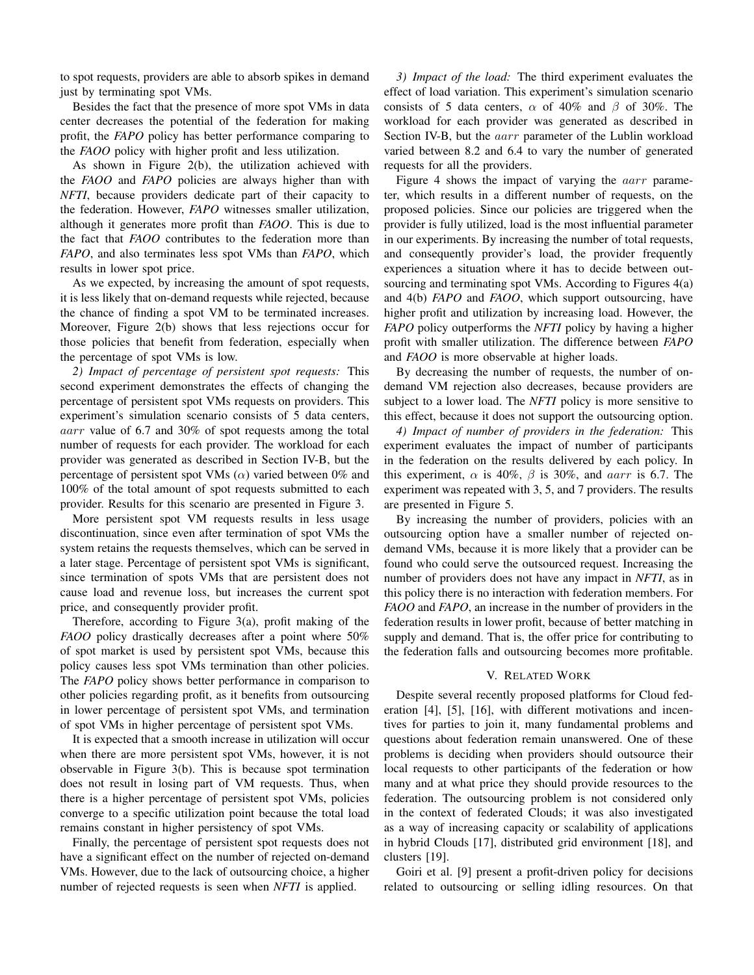to spot requests, providers are able to absorb spikes in demand just by terminating spot VMs.

Besides the fact that the presence of more spot VMs in data center decreases the potential of the federation for making profit, the *FAPO* policy has better performance comparing to the *FAOO* policy with higher profit and less utilization.

As shown in Figure 2(b), the utilization achieved with the *FAOO* and *FAPO* policies are always higher than with *NFTI*, because providers dedicate part of their capacity to the federation. However, *FAPO* witnesses smaller utilization, although it generates more profit than *FAOO*. This is due to the fact that *FAOO* contributes to the federation more than *FAPO*, and also terminates less spot VMs than *FAPO*, which results in lower spot price.

As we expected, by increasing the amount of spot requests, it is less likely that on-demand requests while rejected, because the chance of finding a spot VM to be terminated increases. Moreover, Figure 2(b) shows that less rejections occur for those policies that benefit from federation, especially when the percentage of spot VMs is low.

*2) Impact of percentage of persistent spot requests:* This second experiment demonstrates the effects of changing the percentage of persistent spot VMs requests on providers. This experiment's simulation scenario consists of 5 data centers, aarr value of 6.7 and 30% of spot requests among the total number of requests for each provider. The workload for each provider was generated as described in Section IV-B, but the percentage of persistent spot VMs  $(\alpha)$  varied between 0% and 100% of the total amount of spot requests submitted to each provider. Results for this scenario are presented in Figure 3.

More persistent spot VM requests results in less usage discontinuation, since even after termination of spot VMs the system retains the requests themselves, which can be served in a later stage. Percentage of persistent spot VMs is significant, since termination of spots VMs that are persistent does not cause load and revenue loss, but increases the current spot price, and consequently provider profit.

Therefore, according to Figure 3(a), profit making of the *FAOO* policy drastically decreases after a point where 50% of spot market is used by persistent spot VMs, because this policy causes less spot VMs termination than other policies. The *FAPO* policy shows better performance in comparison to other policies regarding profit, as it benefits from outsourcing in lower percentage of persistent spot VMs, and termination of spot VMs in higher percentage of persistent spot VMs.

It is expected that a smooth increase in utilization will occur when there are more persistent spot VMs, however, it is not observable in Figure 3(b). This is because spot termination does not result in losing part of VM requests. Thus, when there is a higher percentage of persistent spot VMs, policies converge to a specific utilization point because the total load remains constant in higher persistency of spot VMs.

Finally, the percentage of persistent spot requests does not have a significant effect on the number of rejected on-demand VMs. However, due to the lack of outsourcing choice, a higher number of rejected requests is seen when *NFTI* is applied.

*3) Impact of the load:* The third experiment evaluates the effect of load variation. This experiment's simulation scenario consists of 5 data centers,  $\alpha$  of 40% and  $\beta$  of 30%. The workload for each provider was generated as described in Section IV-B, but the *aarr* parameter of the Lublin workload varied between 8.2 and 6.4 to vary the number of generated requests for all the providers.

Figure 4 shows the impact of varying the aarr parameter, which results in a different number of requests, on the proposed policies. Since our policies are triggered when the provider is fully utilized, load is the most influential parameter in our experiments. By increasing the number of total requests, and consequently provider's load, the provider frequently experiences a situation where it has to decide between outsourcing and terminating spot VMs. According to Figures 4(a) and 4(b) *FAPO* and *FAOO*, which support outsourcing, have higher profit and utilization by increasing load. However, the *FAPO* policy outperforms the *NFTI* policy by having a higher profit with smaller utilization. The difference between *FAPO* and *FAOO* is more observable at higher loads.

By decreasing the number of requests, the number of ondemand VM rejection also decreases, because providers are subject to a lower load. The *NFTI* policy is more sensitive to this effect, because it does not support the outsourcing option.

*4) Impact of number of providers in the federation:* This experiment evaluates the impact of number of participants in the federation on the results delivered by each policy. In this experiment,  $\alpha$  is 40%,  $\beta$  is 30%, and *aarr* is 6.7. The experiment was repeated with 3, 5, and 7 providers. The results are presented in Figure 5.

By increasing the number of providers, policies with an outsourcing option have a smaller number of rejected ondemand VMs, because it is more likely that a provider can be found who could serve the outsourced request. Increasing the number of providers does not have any impact in *NFTI*, as in this policy there is no interaction with federation members. For *FAOO* and *FAPO*, an increase in the number of providers in the federation results in lower profit, because of better matching in supply and demand. That is, the offer price for contributing to the federation falls and outsourcing becomes more profitable.

#### V. RELATED WORK

Despite several recently proposed platforms for Cloud federation [4], [5], [16], with different motivations and incentives for parties to join it, many fundamental problems and questions about federation remain unanswered. One of these problems is deciding when providers should outsource their local requests to other participants of the federation or how many and at what price they should provide resources to the federation. The outsourcing problem is not considered only in the context of federated Clouds; it was also investigated as a way of increasing capacity or scalability of applications in hybrid Clouds [17], distributed grid environment [18], and clusters [19].

Goiri et al. [9] present a profit-driven policy for decisions related to outsourcing or selling idling resources. On that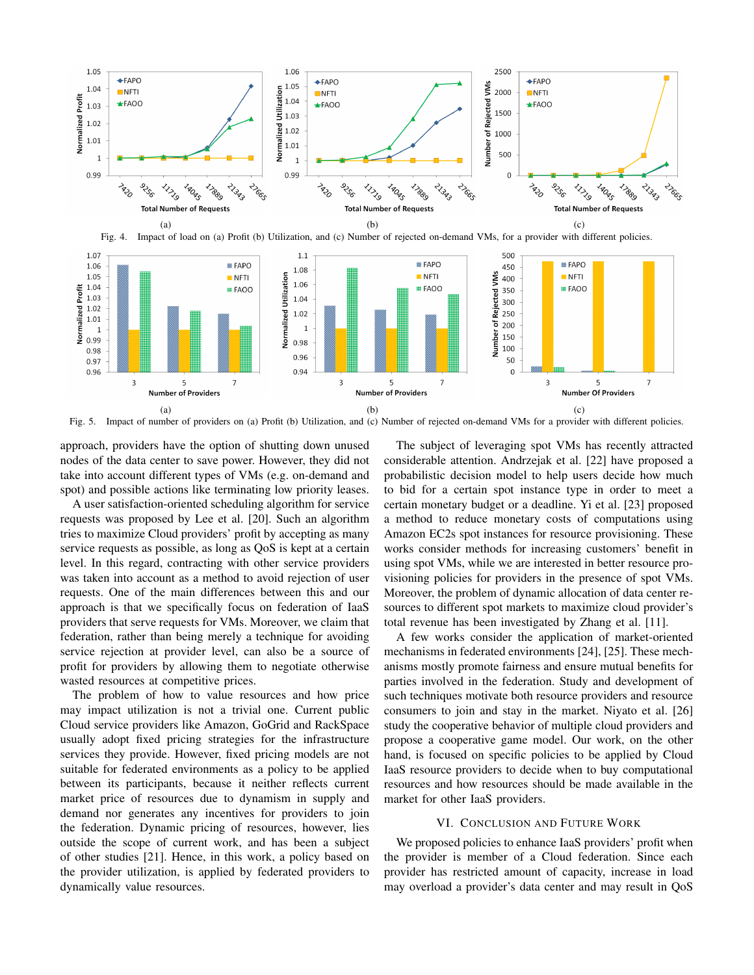

Fig. 5. Impact of number of providers on (a) Profit (b) Utilization, and (c) Number of rejected on-demand VMs for a provider with different policies.

approach, providers have the option of shutting down unused nodes of the data center to save power. However, they did not take into account different types of VMs (e.g. on-demand and spot) and possible actions like terminating low priority leases.

A user satisfaction-oriented scheduling algorithm for service requests was proposed by Lee et al. [20]. Such an algorithm tries to maximize Cloud providers' profit by accepting as many service requests as possible, as long as QoS is kept at a certain level. In this regard, contracting with other service providers was taken into account as a method to avoid rejection of user requests. One of the main differences between this and our approach is that we specifically focus on federation of IaaS providers that serve requests for VMs. Moreover, we claim that federation, rather than being merely a technique for avoiding service rejection at provider level, can also be a source of profit for providers by allowing them to negotiate otherwise wasted resources at competitive prices.

The problem of how to value resources and how price may impact utilization is not a trivial one. Current public Cloud service providers like Amazon, GoGrid and RackSpace usually adopt fixed pricing strategies for the infrastructure services they provide. However, fixed pricing models are not suitable for federated environments as a policy to be applied between its participants, because it neither reflects current market price of resources due to dynamism in supply and demand nor generates any incentives for providers to join the federation. Dynamic pricing of resources, however, lies outside the scope of current work, and has been a subject of other studies [21]. Hence, in this work, a policy based on the provider utilization, is applied by federated providers to dynamically value resources.

The subject of leveraging spot VMs has recently attracted considerable attention. Andrzejak et al. [22] have proposed a probabilistic decision model to help users decide how much to bid for a certain spot instance type in order to meet a certain monetary budget or a deadline. Yi et al. [23] proposed a method to reduce monetary costs of computations using Amazon EC2s spot instances for resource provisioning. These works consider methods for increasing customers' benefit in using spot VMs, while we are interested in better resource provisioning policies for providers in the presence of spot VMs. Moreover, the problem of dynamic allocation of data center resources to different spot markets to maximize cloud provider's total revenue has been investigated by Zhang et al. [11].

A few works consider the application of market-oriented mechanisms in federated environments [24], [25]. These mechanisms mostly promote fairness and ensure mutual benefits for parties involved in the federation. Study and development of such techniques motivate both resource providers and resource consumers to join and stay in the market. Niyato et al. [26] study the cooperative behavior of multiple cloud providers and propose a cooperative game model. Our work, on the other hand, is focused on specific policies to be applied by Cloud IaaS resource providers to decide when to buy computational resources and how resources should be made available in the market for other IaaS providers.

## VI. CONCLUSION AND FUTURE WORK

We proposed policies to enhance IaaS providers' profit when the provider is member of a Cloud federation. Since each provider has restricted amount of capacity, increase in load may overload a provider's data center and may result in QoS